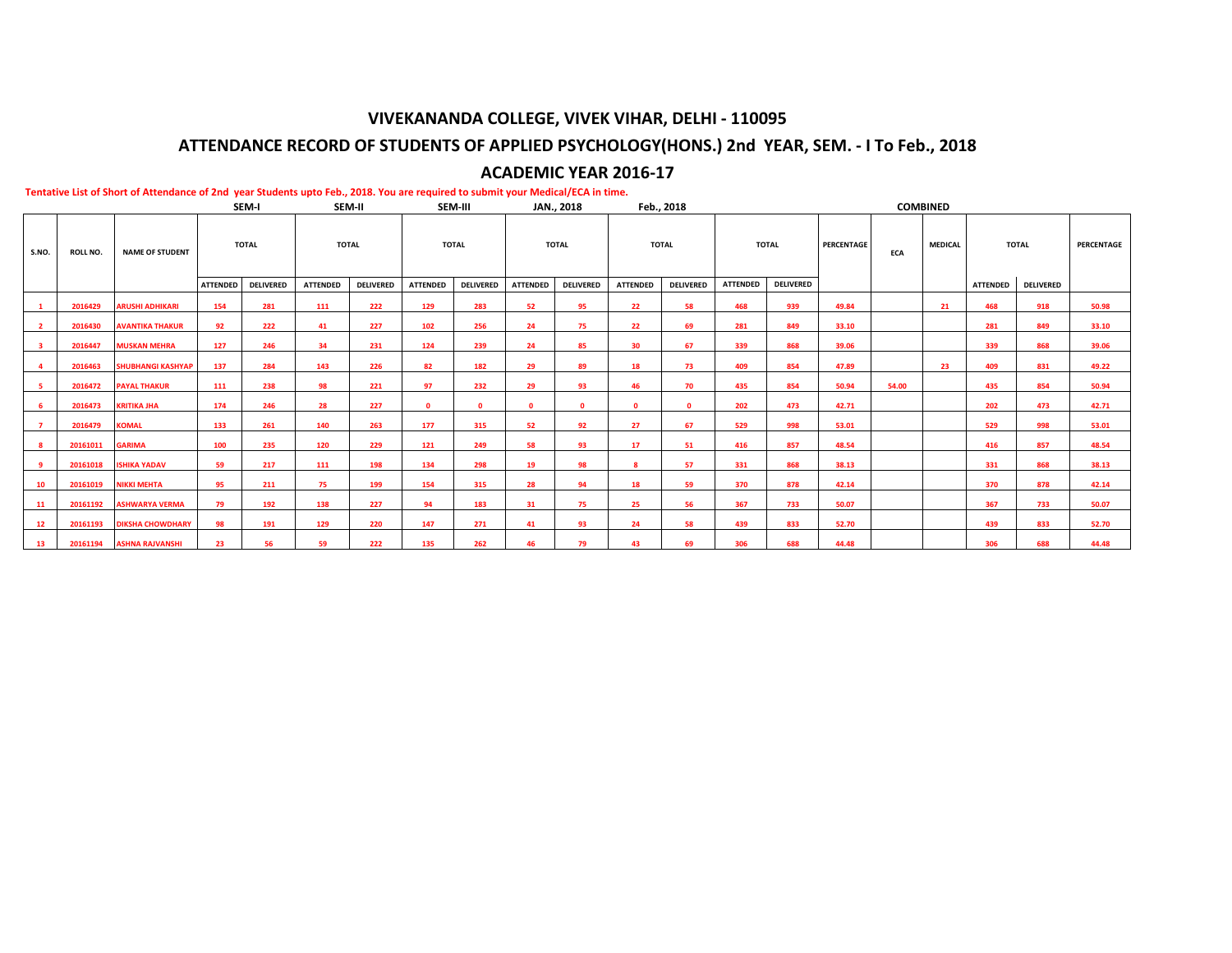# **VIVEKANANDA COLLEGE, VIVEK VIHAR, DELHI - 110095**

# **ATTENDANCE RECORD OF STUDENTS OF APPLIED PSYCHOLOGY(HONS.) 2nd YEAR, SEM. - I To Feb., 2018**

# **ACADEMIC YEAR 2016-17**

|                | SEM-I           |                          |                 |                  |                 | SEM-II           |                 | SEM-III          |                 | JAN., 2018       |                 | Feb., 2018       |                 |                  |            |       | <b>COMBINED</b> |                 |                  |            |
|----------------|-----------------|--------------------------|-----------------|------------------|-----------------|------------------|-----------------|------------------|-----------------|------------------|-----------------|------------------|-----------------|------------------|------------|-------|-----------------|-----------------|------------------|------------|
| S.NO.          | <b>ROLL NO.</b> | <b>NAME OF STUDENT</b>   |                 | <b>TOTAL</b>     | <b>TOTAL</b>    |                  | <b>TOTAL</b>    |                  |                 | <b>TOTAL</b>     | <b>TOTAL</b>    |                  | <b>TOTAL</b>    |                  | PERCENTAGE | ECA   | <b>MEDICAL</b>  |                 | <b>TOTAL</b>     | PERCENTAGE |
|                |                 |                          | <b>ATTENDED</b> | <b>DELIVERED</b> | <b>ATTENDED</b> | <b>DELIVERED</b> | <b>ATTENDED</b> | <b>DELIVERED</b> | <b>ATTENDED</b> | <b>DELIVERED</b> | <b>ATTENDED</b> | <b>DELIVERED</b> | <b>ATTENDED</b> | <b>DELIVERED</b> |            |       |                 | <b>ATTENDED</b> | <b>DELIVERED</b> |            |
| $\mathbf{1}$   | 2016429         | <b>ARUSHI ADHIKARI</b>   | 154             | 281              | 111             | 222              | 129             | 283              | 52              | 95               | 22              | 58               | 468             | 939              | 49.84      |       | 21              | 468             | 918              | 50.98      |
| $\overline{2}$ | 2016430         | <b>AVANTIKA THAKUR</b>   | 92              | 222              | 41              | 227              | 102             | 256              | 24              | 75               | 22              | 69               | 281             | 849              | 33.10      |       |                 | 281             | 849              | 33.10      |
| -3             | 2016447         | <b>MUSKAN MEHRA</b>      | 127             | 246              | 34              | 231              | 124             | 239              | 24              | 85               | 30              | 67               | 339             | 868              | 39.06      |       |                 | 339             | 868              | 39.06      |
| $\overline{4}$ | 2016463         | <b>SHUBHANGI KASHYAP</b> | 137             | 284              | 143             | 226              | 82              | 182              | 29              | 89               | 18              | 73               | 409             | 854              | 47.89      |       | 23              | 409             | 831              | 49.22      |
| -5             | 2016472         | <b>PAYAL THAKUR</b>      | 111             | 238              | 98              | 221              | 97              | 232              | 29              | 93               | 46              | 70               | 435             | 854              | 50.94      | 54.00 |                 | 435             | 854              | 50.94      |
| - 6            | 2016473         | <b>KRITIKA JHA</b>       | 174             | 246              | 28              | 227              | $\Omega$        | $\Omega$         | $\bullet$       | $\mathbf{0}$     | $\mathbf{0}$    | $\Omega$         | 202             | 473              | 42.71      |       |                 | 202             | 473              | 42.71      |
| $\overline{7}$ | 2016479         | <b>KOMAL</b>             | 133             | 261              | 140             | 263              | 177             | 315              | 52              | 92               | 27              | 67               | 529             | 998              | 53.01      |       |                 | 529             | 998              | 53.01      |
| -8             | 20161011        | <b>GARIMA</b>            | 100             | 235              | 120             | 229              | 121             | 249              | 58              | 93               | 17              | 51               | 416             | 857              | 48.54      |       |                 | 416             | 857              | 48.54      |
| -9             | 20161018        | <b>ISHIKA YADAV</b>      | 59              | 217              | 111             | 198              | 134             | 298              | 19              | 98               | 8               | 57               | 331             | 868              | 38.13      |       |                 | 331             | 868              | 38.13      |
| 10             | 20161019        | <b>NIKKI MEHTA</b>       | 95              | 211              | 75              | 199              | 154             | 315              | 28              | 94               | 18              | 59               | 370             | 878              | 42.14      |       |                 | 370             | 878              | 42.14      |
| 11             | 20161192        | <b>ASHWARYA VERMA</b>    | 79              | 192              | 138             | 227              | 94              | 183              | 31              | 75               | 25              | 56               | 367             | 733              | 50.07      |       |                 | 367             | 733              | 50.07      |
| 12             | 20161193        | <b>DIKSHA CHOWDHARY</b>  | 98              | 191              | 129             | 220              | 147             | 271              | 41              | 93               | 24              | 58               | 439             | 833              | 52.70      |       |                 | 439             | 833              | 52.70      |
| 13             | 20161194        | <b>ASHNA RAJVANSHI</b>   | 23              | 56               | 59              | 222              | 135             | 262              | 46              | 79               | 43              | 69               | 306             | 688              | 44.48      |       |                 | 306             | 688              | 44.48      |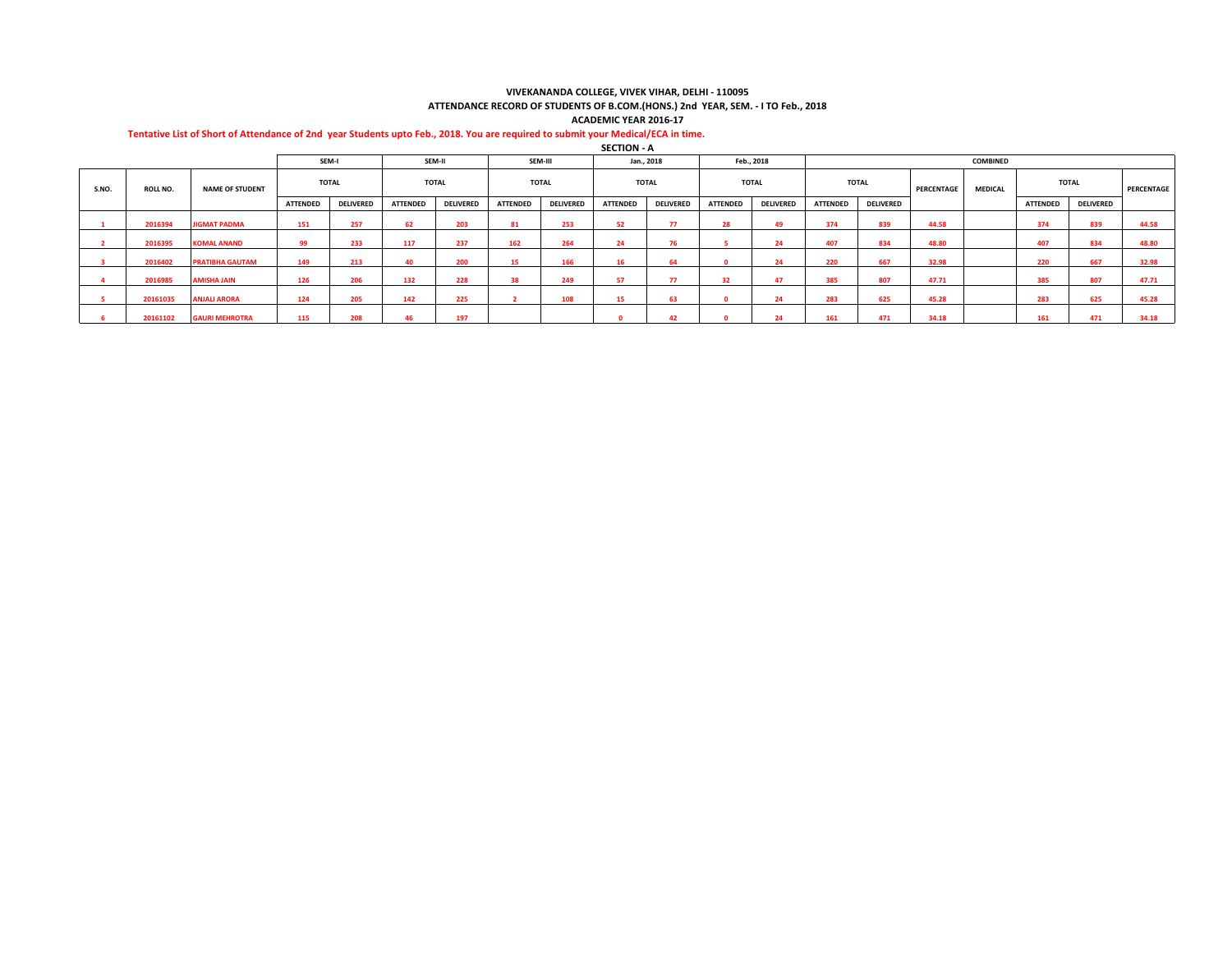#### **VIVEKANANDA COLLEGE, VIVEK VIHAR, DELHI - 110095 ATTENDANCE RECORD OF STUDENTS OF B.COM.(HONS.) 2nd YEAR, SEM. - I TO Feb., 2018**

**ACADEMIC YEAR 2016-17**

## **Tentative List of Short of Attendance of 2nd year Students upto Feb., 2018. You are required to submit your Medical/ECA in time.**

**SECTION - A**

|       |          |                        |                 | SEM-I            |                 | SEM-II           |                 | SEM-III          |                 | Jan., 2018       |                 | Feb., 2018       |                 |                  |            | <b>COMBINED</b> |                 |                  |            |
|-------|----------|------------------------|-----------------|------------------|-----------------|------------------|-----------------|------------------|-----------------|------------------|-----------------|------------------|-----------------|------------------|------------|-----------------|-----------------|------------------|------------|
| S.NO. | ROLL NO. | <b>NAME OF STUDENT</b> |                 | <b>TOTAL</b>     |                 | <b>TOTAL</b>     |                 | <b>TOTAL</b>     |                 | <b>TOTAL</b>     |                 | <b>TOTAL</b>     |                 | <b>TOTAL</b>     | PERCENTAGE | <b>MEDICAL</b>  |                 | <b>TOTAL</b>     | PERCENTAGE |
|       |          |                        | <b>ATTENDED</b> | <b>DELIVERED</b> | <b>ATTENDED</b> | <b>DELIVERED</b> | <b>ATTENDED</b> | <b>DELIVERED</b> | <b>ATTENDED</b> | <b>DELIVERED</b> | <b>ATTENDED</b> | <b>DELIVERED</b> | <b>ATTENDED</b> | <b>DELIVERED</b> |            |                 | <b>ATTENDED</b> | <b>DELIVERED</b> |            |
|       | 2016394  | <b>JIGMAT PADMA</b>    | 151             | 257              | 62              | 203              | 81              | 253              | 52              | 77               | 28              | 49               | 374             | 839              | 44.58      |                 | 374             | 839              | 44.58      |
|       | 2016395  | <b>KOMAL ANAND</b>     | 99              | 233              | 117             | 237              | 162             | 264              | 24              | 76               |                 | 24               | 407             | 834              | 48.80      |                 | 407             | 834              | 48.80      |
|       | 2016402  | <b>PRATIBHA GAUTAM</b> | 149             | 213              | 40              | 200              | 15              | 166              | 16              | 64               |                 | 24               | 220             | 667              | 32.98      |                 | 220             | 667              | 32.98      |
|       | 2016985  | <b>AMISHA JAIN</b>     | 126             | 206              | 132             | 228              | 38              | 249              | 57              | 77               | 32              | 47               | 385             | 807              | 47.71      |                 | 385             | 807              | 47.71      |
|       | 20161035 | <b>ANJALI ARORA</b>    | 124             | 205              | 142             | 225              |                 | 108              | 15              | 63               |                 | 24               | 283             | 625              | 45.28      |                 | 283             | 625              | 45.28      |
|       | 20161102 | <b>GAURI MEHROTRA</b>  | 115             | 208              | 46              | 197              |                 |                  |                 | 42               |                 | 24               | 161             | 471              | 34.18      |                 | 161             | 471              | 34.18      |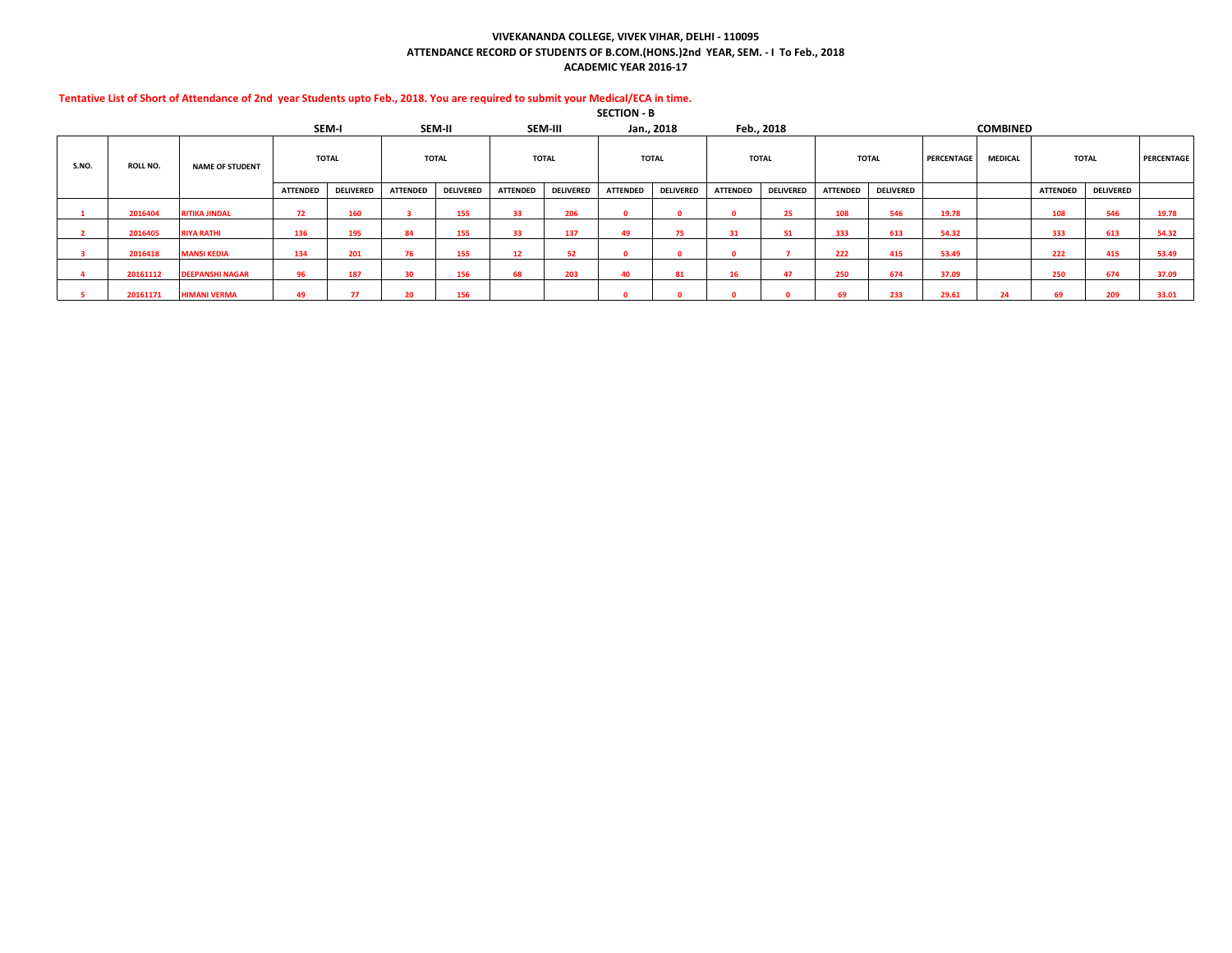## **VIVEKANANDA COLLEGE, VIVEK VIHAR, DELHI - 110095 ATTENDANCE RECORD OF STUDENTS OF B.COM.(HONS.)2nd YEAR, SEM. - I To Feb., 2018 ACADEMIC YEAR 2016-17**

|       |                 |                        |                 |                  |                 |                  |                 |                  | SECTION - B     |                  |                 |                  |                 |                  |            |                 |                 |                  |            |
|-------|-----------------|------------------------|-----------------|------------------|-----------------|------------------|-----------------|------------------|-----------------|------------------|-----------------|------------------|-----------------|------------------|------------|-----------------|-----------------|------------------|------------|
|       |                 |                        |                 | SEM-I            | SEM-II          |                  |                 | SEM-III          |                 | Jan., 2018       |                 | Feb., 2018       |                 |                  |            | <b>COMBINED</b> |                 |                  |            |
| S.NO. | <b>ROLL NO.</b> | <b>NAME OF STUDENT</b> |                 | <b>TOTAL</b>     | <b>TOTAL</b>    |                  |                 | <b>TOTAL</b>     |                 | <b>TOTAL</b>     |                 | <b>TOTAL</b>     |                 | <b>TOTAL</b>     | PERCENTAGE | <b>MEDICAL</b>  |                 | <b>TOTAL</b>     | PERCENTAGE |
|       |                 |                        | <b>ATTENDED</b> | <b>DELIVERED</b> | <b>ATTENDED</b> | <b>DELIVERED</b> | <b>ATTENDED</b> | <b>DELIVERED</b> | <b>ATTENDED</b> | <b>DELIVERED</b> | <b>ATTENDED</b> | <b>DELIVERED</b> | <b>ATTENDED</b> | <b>DELIVERED</b> |            |                 | <b>ATTENDED</b> | <b>DELIVERED</b> |            |
|       | 2016404         | <b>RITIKA JINDAL</b>   | 72              | 160              |                 | 155              | 33              | 206              | n               |                  |                 | 25               | 108             | 546              | 19.78      |                 | 108             | 546              | 19.78      |
|       | 2016405         | <b>RIYA RATHI</b>      | 136             | 195              | 84              | 155              | 33              | 137              | 49              | 75               | 31              | 51               | 333             | 613              | 54.32      |                 | 333             | 613              | 54.32      |
|       | 2016418         | <b>MANSI KEDIA</b>     | 134             | 201              | 76              | 155              | 12              | 52               | 0               |                  | 0               |                  | 222             | 415              | 53.49      |                 | 222             | 415              | 53.49      |
|       | 20161112        | <b>DEEPANSHI NAGAR</b> | 96              | 187              | 30              | 156              | 68              | 203              | 40              | 81               | 16              | 47               | 250             | 674              | 37.09      |                 | 250             | 674              | 37.09      |
|       | 20161171        | <b>HIMANI VERMA</b>    | 49              | 77               |                 | 156              |                 |                  |                 |                  |                 |                  | 69              | 233              | 29.61      | 24              | 69              | 209              | 33.01      |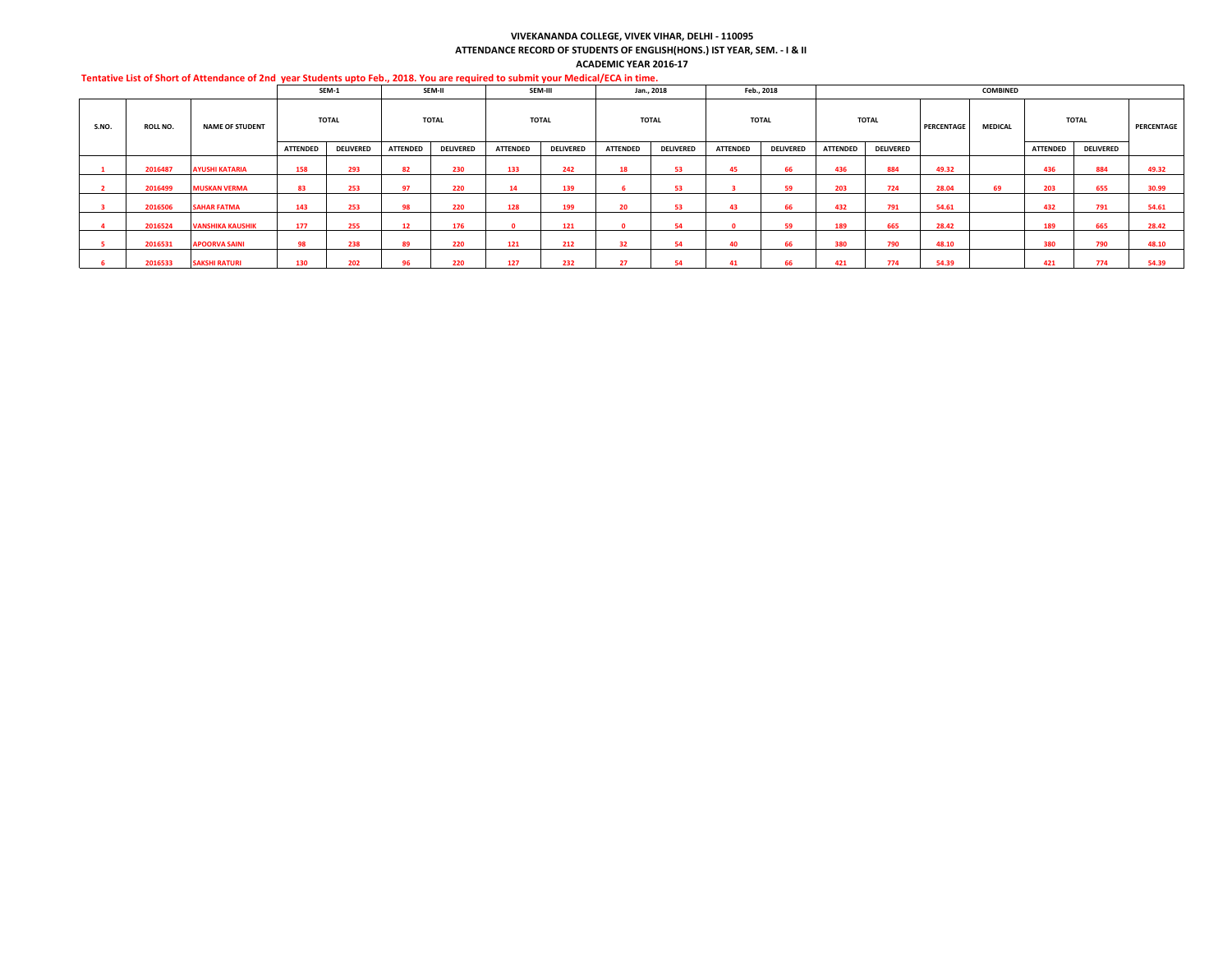#### **VIVEKANANDA COLLEGE, VIVEK VIHAR, DELHI - 110095 ATTENDANCE RECORD OF STUDENTS OF ENGLISH(HONS.) IST YEAR, SEM. - I & II ACADEMIC YEAR 2016-17**

|       |                 |                         |                 | SEM-1            |                 | SEM-II           |                 | SEM-III          |                 | Jan., 2018       |          | Feb., 2018       |          |                  |            | COMBINED       |                 |                  |            |
|-------|-----------------|-------------------------|-----------------|------------------|-----------------|------------------|-----------------|------------------|-----------------|------------------|----------|------------------|----------|------------------|------------|----------------|-----------------|------------------|------------|
| S.NO. | <b>ROLL NO.</b> | <b>NAME OF STUDENT</b>  |                 | <b>TOTAL</b>     |                 | <b>TOTAL</b>     |                 | <b>TOTAL</b>     |                 | <b>TOTAL</b>     |          | <b>TOTAL</b>     |          | <b>TOTAL</b>     | PERCENTAGE | <b>MEDICAL</b> |                 | <b>TOTAL</b>     | PERCENTAGE |
|       |                 |                         | <b>ATTENDED</b> | <b>DELIVERED</b> | <b>ATTENDED</b> | <b>DELIVERED</b> | <b>ATTENDED</b> | <b>DELIVERED</b> | <b>ATTENDED</b> | <b>DELIVERED</b> | ATTENDED | <b>DELIVERED</b> | ATTENDED | <b>DELIVERED</b> |            |                | <b>ATTENDED</b> | <b>DELIVERED</b> |            |
|       | 2016487         | <b>AYUSHI KATARIA</b>   | 158             | 293              | 82              | 230              | 133             | 242              | 18              | 53               | 45       | 66               | 436      | 884              | 49.32      |                | 436             | 884              | 49.32      |
|       | 2016499         | <b>MUSKAN VERMA</b>     | 83              | 253              | 97              | 220              | 14              | 139              |                 | 53               |          | 59               | 203      | 724              | 28.04      | 69             | 203             | 655              | 30.99      |
|       | 2016506         | <b>SAHAR FATMA</b>      | 143             | 253              | 98              | 220              | 128             | 199              | 20              | 53               | 43       | 66               | 432      | 791              | 54.61      |                | 432             | 791              | 54.61      |
|       | 2016524         | <b>VANSHIKA KAUSHIK</b> | 177             | 255              | 12              | 176              |                 | 121              |                 | 54               |          | 59               | 189      | 665              | 28.42      |                | 189             | 665              | 28.42      |
|       | 2016531         | <b>APOORVA SAINI</b>    | 98              | 238              | 89              | 220              | 121             | 212              | 32              | 54               | 40       | 66               | 380      | 790              | 48.10      |                | 380             | 790              | 48.10      |
|       | 2016533         | <b>SAKSHI RATURI</b>    | 130             | 202              | 96              | 220              | 127             | 232              | 27              | 54               | 41       | 66               | 421      | 774              | 54.39      |                | 421             | 774              | 54.39      |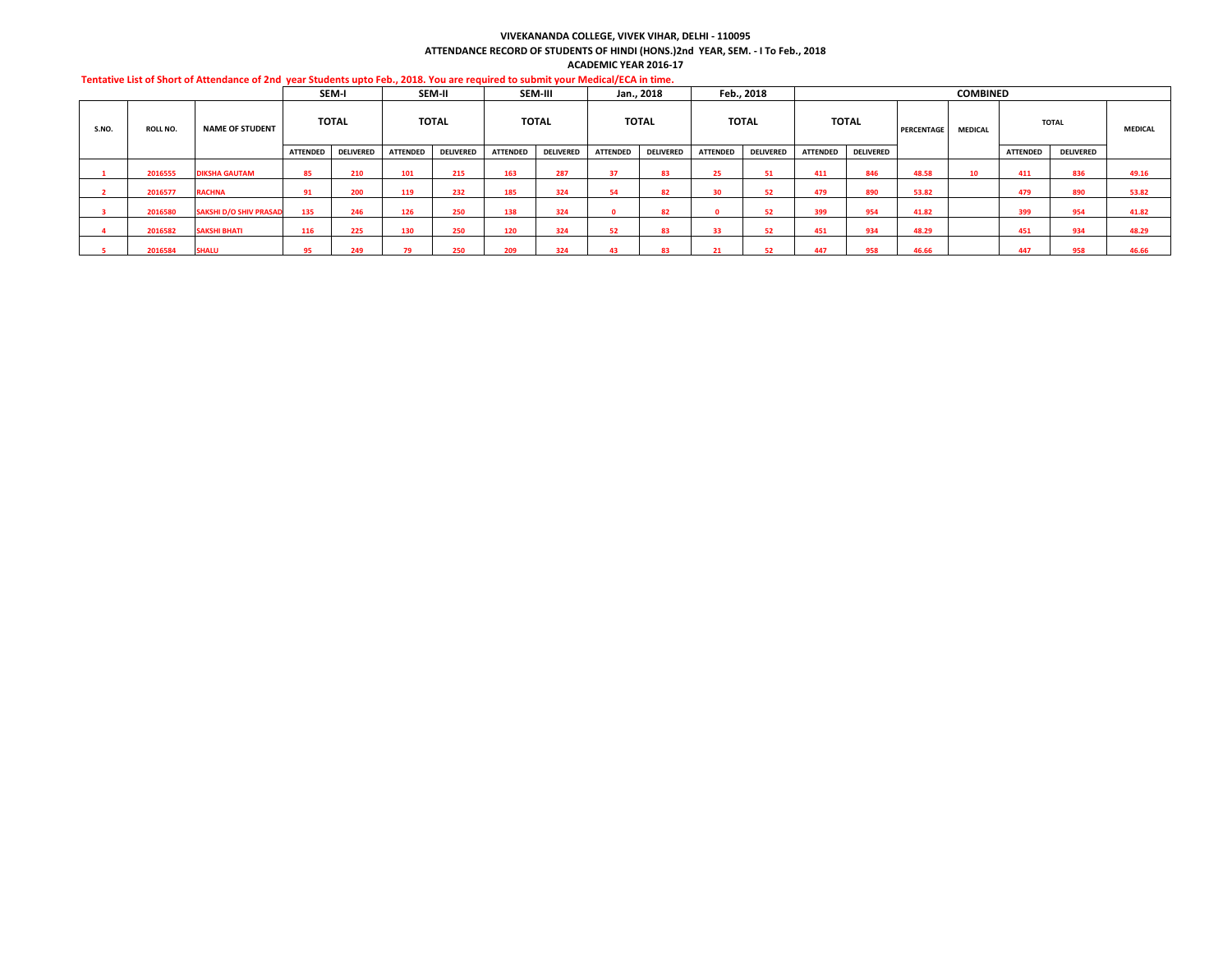#### **VIVEKANANDA COLLEGE, VIVEK VIHAR, DELHI - 110095**

**ATTENDANCE RECORD OF STUDENTS OF HINDI (HONS.)2nd YEAR, SEM. - I To Feb., 2018**

|                                                                                                                                  |  | <b>ACADEMIC YEAR 2016-17</b> |  |
|----------------------------------------------------------------------------------------------------------------------------------|--|------------------------------|--|
| Tentative List of Short of Attendance of 2nd vear Students upto Feb., 2018. You are required to submit vour Medical/ECA in time. |  |                              |  |
|                                                                                                                                  |  |                              |  |

|       |                 |                               |                 | SEM-I            |                 | SEM-II           |                 | SEM-III          |                 | Jan., 2018       |                 | Feb., 2018       |                 |                  |            | <b>COMBINED</b> |                 |                  |                |
|-------|-----------------|-------------------------------|-----------------|------------------|-----------------|------------------|-----------------|------------------|-----------------|------------------|-----------------|------------------|-----------------|------------------|------------|-----------------|-----------------|------------------|----------------|
| S.NO. | <b>ROLL NO.</b> | <b>NAME OF STUDENT</b>        |                 | <b>TOTAL</b>     |                 | <b>TOTAL</b>     |                 | <b>TOTAL</b>     |                 | <b>TOTAL</b>     |                 | <b>TOTAL</b>     |                 | <b>TOTAL</b>     | PERCENTAGE | <b>MEDICAL</b>  |                 | <b>TOTAL</b>     | <b>MEDICAL</b> |
|       |                 |                               | <b>ATTENDED</b> | <b>DELIVERED</b> | <b>ATTENDED</b> | <b>DELIVERED</b> | <b>ATTENDED</b> | <b>DELIVERED</b> | <b>ATTENDED</b> | <b>DELIVERED</b> | <b>ATTENDED</b> | <b>DELIVERED</b> | <b>ATTENDED</b> | <b>DELIVERED</b> |            |                 | <b>ATTENDED</b> | <b>DELIVERED</b> |                |
|       | 2016555         | <b>DIKSHA GAUTAM</b>          | 85              | 210              | 101             | 215              | 163             | 287              | 37              | 83               | 25.             | 51               | 411             | 846              | 48.58      | 10              | 411             | 836              | 49.16          |
|       | 2016577         | <b>RACHNA</b>                 | 91              | 200              | 119             | 232              | 185             | 324              | 54              | 82               | 30              | 52               | 479             | 890              | 53.82      |                 | 479             | 890              | 53.82          |
|       | 2016580         | <b>SAKSHI D/O SHIV PRASAD</b> | 135             | 246              | 126             | 250              | 138             | 324              |                 | 82               |                 | 52               | 399             | 954              | 41.82      |                 | 399             | 954              | 41.82          |
|       | 2016582         | <b>SAKSHI BHATI</b>           | 116             | 225              | 130             | 250              | 120             | 324              | 52              | 83               | 33              | 52               | 451             | 934              | 48.29      |                 | 451             | 934              | 48.29          |
|       | 2016584         | <b>SHALU</b>                  | 95              | 249              | 70              | 250              | 209             | 324              | 43              | 83               |                 |                  | 447             | 958              | 46.66      |                 | 447             | 958              | 46.66          |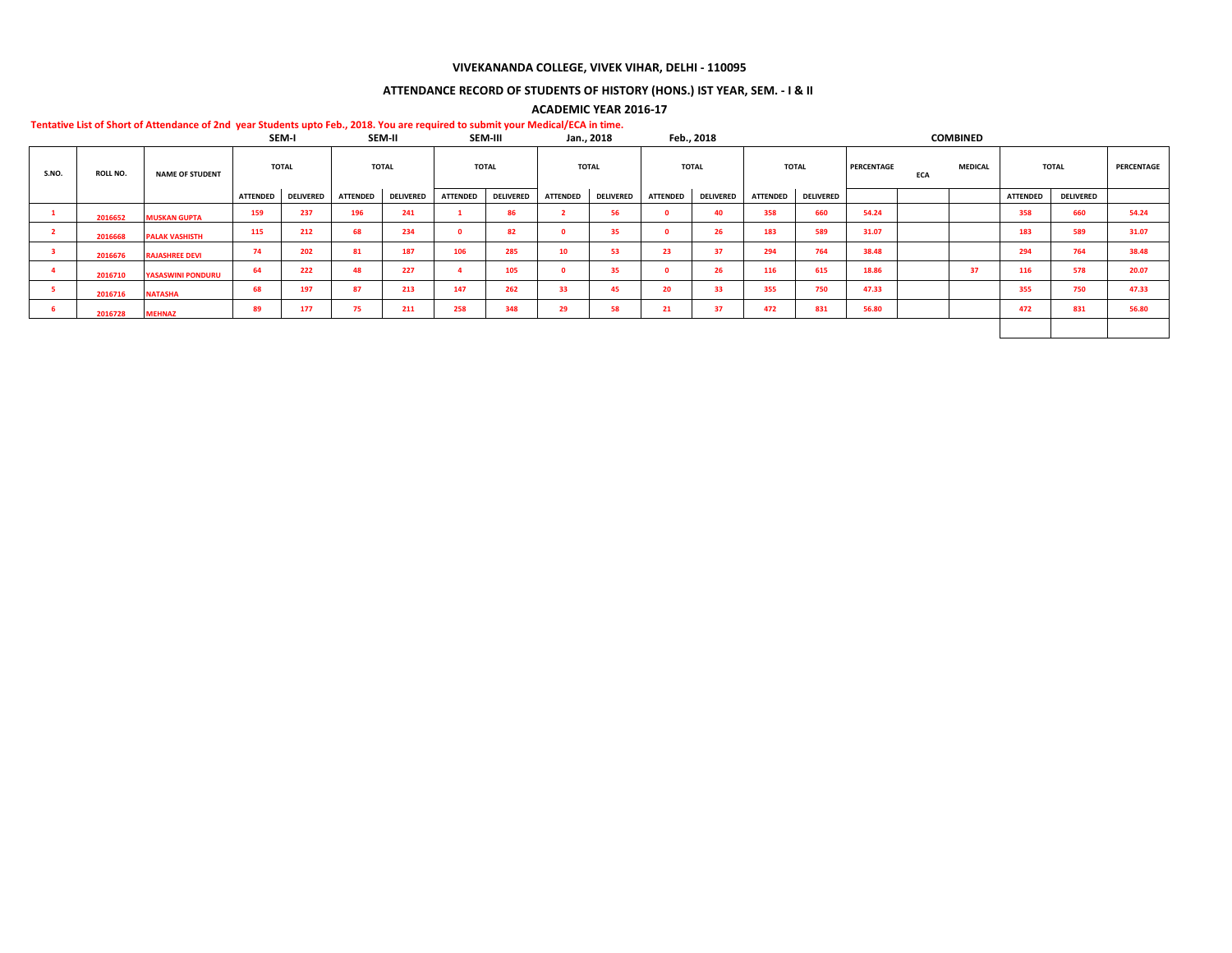## **VIVEKANANDA COLLEGE, VIVEK VIHAR, DELHI - 110095**

# **ATTENDANCE RECORD OF STUDENTS OF HISTORY (HONS.) IST YEAR, SEM. - I & II**

## **ACADEMIC YEAR 2016-17**

|       |                 |                          |                 | SEM-I            |          | SEM-II           |                 | SEM-III          |                 | Jan., 2018       |                 | Feb., 2018       |                 |                  |            |            | <b>COMBINED</b> |                 |                  |            |
|-------|-----------------|--------------------------|-----------------|------------------|----------|------------------|-----------------|------------------|-----------------|------------------|-----------------|------------------|-----------------|------------------|------------|------------|-----------------|-----------------|------------------|------------|
| S.NO. | <b>ROLL NO.</b> | <b>NAME OF STUDENT</b>   |                 | <b>TOTAL</b>     |          | <b>TOTAL</b>     |                 | <b>TOTAL</b>     |                 | <b>TOTAL</b>     |                 | <b>TOTAL</b>     |                 | <b>TOTAL</b>     | PERCENTAGE | <b>ECA</b> | <b>MEDICAL</b>  |                 | <b>TOTAL</b>     | PERCENTAGE |
|       |                 |                          | <b>ATTENDED</b> | <b>DELIVERED</b> | ATTENDED | <b>DELIVERED</b> | <b>ATTENDED</b> | <b>DELIVERED</b> | <b>ATTENDED</b> | <b>DELIVERED</b> | <b>ATTENDED</b> | <b>DELIVERED</b> | <b>ATTENDED</b> | <b>DELIVERED</b> |            |            |                 | <b>ATTENDED</b> | <b>DELIVERED</b> |            |
|       | 2016652         | <b>MUSKAN GUPTA</b>      | 159             | 237              | 196      | 241              |                 | 86               |                 | 56               |                 | 40               | 358             | 660              | 54.24      |            |                 | 358             | 660              | 54.24      |
|       | 2016668         | <b>PALAK VASHISTH</b>    | 115             | 212              | 68       | 234              | $\Omega$        | 82               |                 | 35               |                 | 26               | 183             | 589              | 31.07      |            |                 | 183             | 589              | 31.07      |
|       | 2016676         | <b>RAJASHREE DEVI</b>    | 74              | 202              | 81       | 187              | 106             | 285              | 10              | 53               | 23              | 37               | 294             | 764              | 38.48      |            |                 | 294             | 764              | 38.48      |
|       | 2016710         | <b>YASASWINI PONDURU</b> | 64              | 222              | 48       | 227              |                 | 105              |                 | 35               |                 | 26               | 116             | 615              | 18.86      |            | 37              | 116             | 578              | 20.07      |
| - 5   | 2016716         | <b>NATASHA</b>           | 68              | 197              | 87       | 213              | 147             | 262              | 33              | 45               | 20              | 33               | 355             | 750              | 47.33      |            |                 | 355             | 750              | 47.33      |
|       | 2016728         | <b>MEHNAZ</b>            | 89              | 177              | 75       | 211              | 258             | 348              | 29              | 58               | 21              | 37               | 472             | 831              | 56.80      |            |                 | 472             | 831              | 56.80      |
|       |                 |                          |                 |                  |          |                  |                 |                  |                 |                  |                 |                  |                 |                  |            |            |                 |                 |                  |            |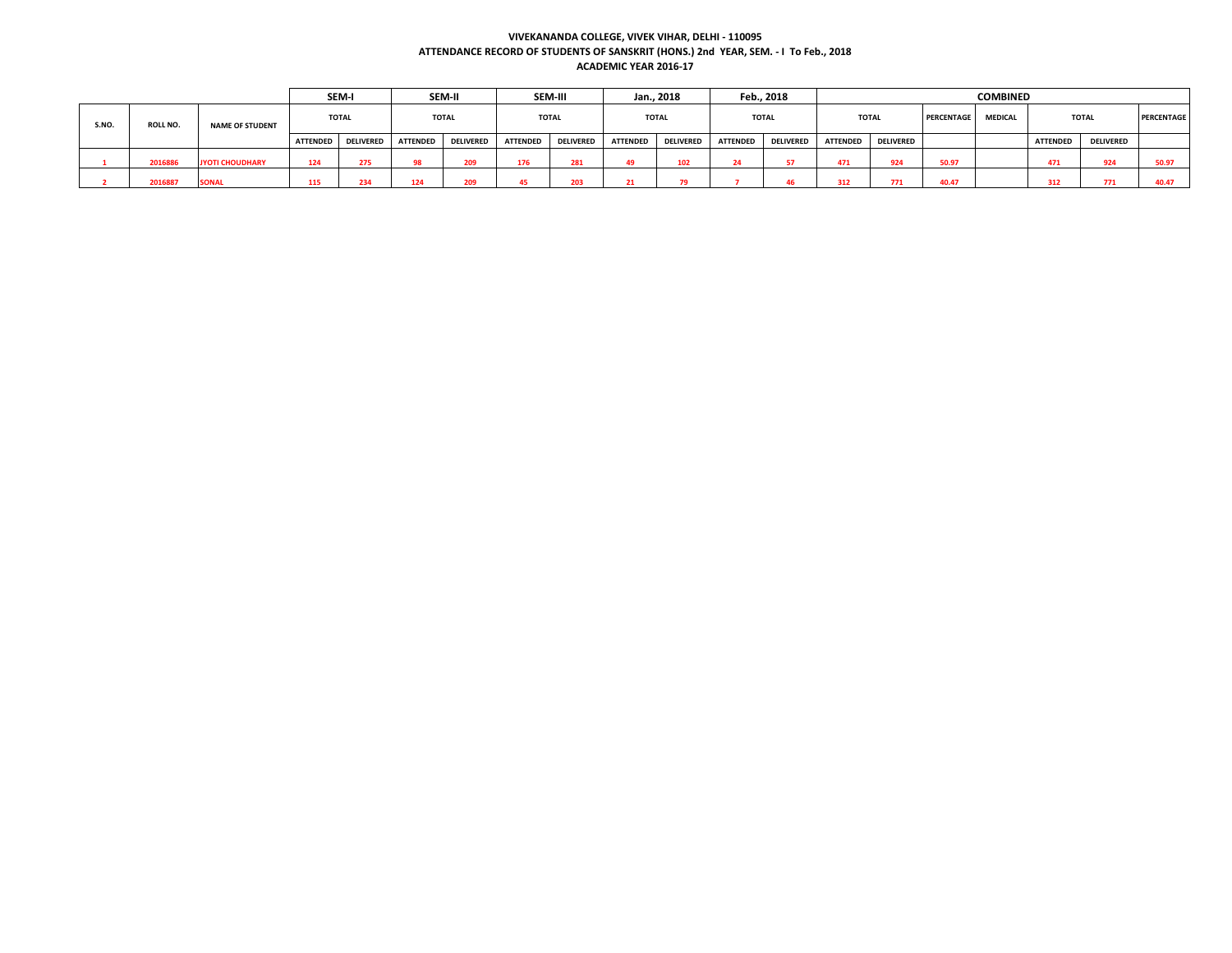### **VIVEKANANDA COLLEGE, VIVEK VIHAR, DELHI - 110095 ATTENDANCE RECORD OF STUDENTS OF SANSKRIT (HONS.) 2nd YEAR, SEM. - I To Feb., 2018 ACADEMIC YEAR 2016-17**

|       |                 |                        |                 | SEM-I            |                 | SEM-II           |                 | <b>SEM-III</b>   |                 | Jan., 2018       |                 | Feb., 2018       |                 |                  |            | <b>COMBINED</b> |                 |                  |                   |
|-------|-----------------|------------------------|-----------------|------------------|-----------------|------------------|-----------------|------------------|-----------------|------------------|-----------------|------------------|-----------------|------------------|------------|-----------------|-----------------|------------------|-------------------|
| S.NO. | <b>ROLL NO.</b> | <b>NAME OF STUDENT</b> |                 | <b>TOTAL</b>     |                 | <b>TOTAL</b>     |                 | <b>TOTAL</b>     |                 | <b>TOTAL</b>     |                 | <b>TOTAL</b>     | <b>TOTAL</b>    |                  | PERCENTAGE | <b>MEDICAL</b>  |                 | <b>TOTAL</b>     | <b>PERCENTAGE</b> |
|       |                 |                        | <b>ATTENDED</b> | <b>DELIVERED</b> | <b>ATTENDED</b> | <b>DELIVERED</b> | <b>ATTENDED</b> | <b>DELIVERED</b> | <b>ATTENDED</b> | <b>DELIVERED</b> | <b>ATTENDED</b> | <b>DELIVERED</b> | <b>ATTENDED</b> | <b>DELIVERED</b> |            |                 | <b>ATTENDED</b> | <b>DELIVERED</b> |                   |
|       | 2016886         | <b>JYOTI CHOUDHARY</b> | 124             | 275              | 98              | 209              | 176             | 281              |                 | 102              | 24              |                  | 471             | 924              | 50.97      |                 | 471             | 924              | 50.97             |
|       | 2016887         | <b>SONAI</b>           | 115             | 234              | 124             | 209              |                 | 203              |                 |                  |                 |                  | 312             | 771              | 40.47      |                 | 312             | 771              | 40.47             |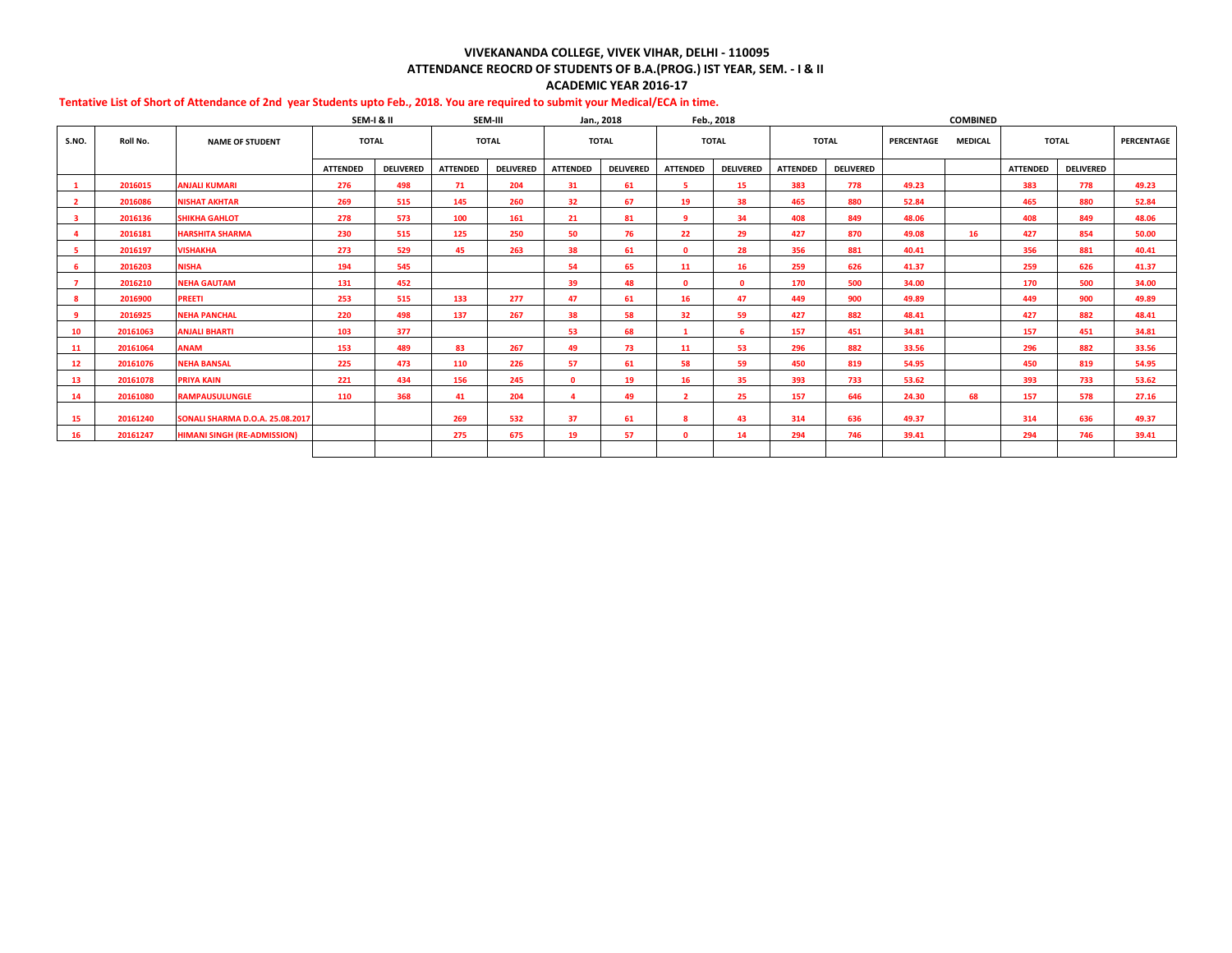## **VIVEKANANDA COLLEGE, VIVEK VIHAR, DELHI - 110095 ATTENDANCE REOCRD OF STUDENTS OF B.A.(PROG.) IST YEAR, SEM. - I & II ACADEMIC YEAR 2016-17**

|                |          |                                        | SEM-I & II      |                  |                 | SEM-III          |                 | Jan., 2018       |                 | Feb., 2018       |                 |                  |            | <b>COMBINED</b> |                 |                  |            |
|----------------|----------|----------------------------------------|-----------------|------------------|-----------------|------------------|-----------------|------------------|-----------------|------------------|-----------------|------------------|------------|-----------------|-----------------|------------------|------------|
| S.NO.          | Roll No. | <b>NAME OF STUDENT</b>                 | <b>TOTAL</b>    |                  |                 | <b>TOTAL</b>     |                 | <b>TOTAL</b>     | <b>TOTAL</b>    |                  |                 | <b>TOTAL</b>     | PERCENTAGE | <b>MEDICAL</b>  |                 | <b>TOTAL</b>     | PERCENTAGE |
|                |          |                                        | <b>ATTENDED</b> | <b>DELIVERED</b> | <b>ATTENDED</b> | <b>DELIVERED</b> | <b>ATTENDED</b> | <b>DELIVERED</b> | <b>ATTENDED</b> | <b>DELIVERED</b> | <b>ATTENDED</b> | <b>DELIVERED</b> |            |                 | <b>ATTENDED</b> | <b>DELIVERED</b> |            |
|                | 2016015  | <b>ANJALI KUMARI</b>                   | 276             | 498              | 71              | 204              | 31              | 61               | 5.              | 15               | 383             | 778              | 49.23      |                 | 383             | 778              | 49.23      |
| $\overline{2}$ | 2016086  | <b>NISHAT AKHTAR</b>                   | 269             | 515              | 145             | 260              | 32              | 67               | 19              | 38               | 465             | 880              | 52.84      |                 | 465             | 880              | 52.84      |
| -3             | 2016136  | <b>SHIKHA GAHLOT</b>                   | 278             | 573              | 100             | 161              | 21              | 81               | 9               | 34               | 408             | 849              | 48.06      |                 | 408             | 849              | 48.06      |
|                | 2016181  | <b>HARSHITA SHARMA</b>                 | 230             | 515              | 125             | 250              | 50              | 76               | 22              | 29               | 427             | 870              | 49.08      | 16              | 427             | 854              | 50.00      |
| -5             | 2016197  | <b>VISHAKHA</b>                        | 273             | 529              | 45              | 263              | 38              | 61               | $\mathbf{0}$    | 28               | 356             | 881              | 40.41      |                 | 356             | 881              | 40.41      |
| 6              | 2016203  | <b>NISHA</b>                           | 194             | 545              |                 |                  | 54              | 65               | 11              | 16               | 259             | 626              | 41.37      |                 | 259             | 626              | 41.37      |
| $\overline{7}$ | 2016210  | <b>NEHA GAUTAM</b>                     | 131             | 452              |                 |                  | 39              | 48               | n.              | $\mathbf{0}$     | 170             | 500              | 34.00      |                 | 170             | 500              | 34.00      |
| -8             | 2016900  | <b>PREETI</b>                          | 253             | 515              | 133             | 277              | 47              | 61               | 16              | 47               | 449             | 900              | 49.89      |                 | 449             | 900              | 49.89      |
| 9              | 2016925  | <b>NEHA PANCHAL</b>                    | 220             | 498              | 137             | 267              | 38              | 58               | 32              | 59               | 427             | 882              | 48.41      |                 | 427             | 882              | 48.41      |
| 10             | 20161063 | <b>ANJALI BHARTI</b>                   | 103             | 377              |                 |                  | 53              | 68               |                 | 6.               | 157             | 451              | 34.81      |                 | 157             | 451              | 34.81      |
| 11             | 20161064 | <b>ANAM</b>                            | 153             | 489              | 83              | 267              | 49              | 73               | 11              | 53               | 296             | 882              | 33.56      |                 | 296             | 882              | 33.56      |
| 12             | 20161076 | <b>NEHA BANSAL</b>                     | 225             | 473              | 110             | 226              | 57              | 61               | 58              | 59               | 450             | 819              | 54.95      |                 | 450             | 819              | 54.95      |
| 13             | 20161078 | <b>PRIYA KAIN</b>                      | 221             | 434              | 156             | 245              | $\mathbf{0}$    | 19               | 16              | 35               | 393             | 733              | 53.62      |                 | 393             | 733              | 53.62      |
| 14             | 20161080 | <b>RAMPAUSULUNGLE</b>                  | 110             | 368              | 41              | 204              | $\Delta$        | 49               | $\overline{2}$  | 25               | 157             | 646              | 24.30      | 68              | 157             | 578              | 27.16      |
|                |          |                                        |                 |                  |                 |                  |                 |                  |                 |                  |                 |                  |            |                 |                 |                  |            |
| 15             | 20161240 | <b>SONALI SHARMA D.O.A. 25.08.2017</b> |                 |                  | 269             | 532              | 37              | 61               | 8               | 43               | 314             | 636              | 49.37      |                 | 314             | 636              | 49.37      |
| 16             | 20161247 | <b>HIMANI SINGH (RE-ADMISSION)</b>     |                 |                  | 275             | 675              | 19              | 57               | $\mathbf{0}$    | 14               | 294             | 746              | 39.41      |                 | 294             | 746              | 39.41      |
|                |          |                                        |                 |                  |                 |                  |                 |                  |                 |                  |                 |                  |            |                 |                 |                  |            |